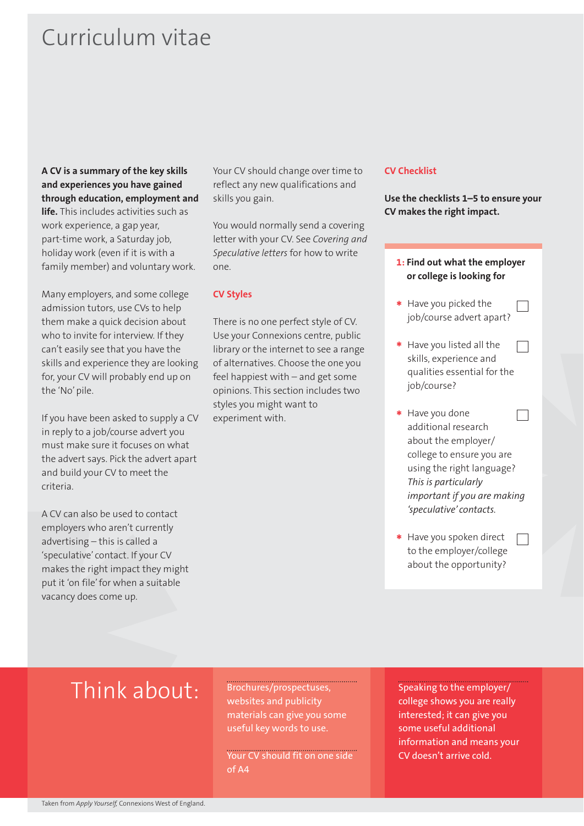## Curriculum vitae

**A CV is a summary of the key skills and experiences you have gained through education, employment and life.** This includes activities such as work experience, a gap year, part-time work, a Saturday job, holiday work (even if it is with a family member) and voluntary work.

Many employers, and some college admission tutors, use CVs to help them make a quick decision about who to invite for interview. If they can't easily see that you have the skills and experience they are looking for, your CV will probably end up on the 'No' pile.

If you have been asked to supply a CV in reply to a job/course advert you must make sure it focuses on what the advert says. Pick the advert apart and build your CV to meet the criteria.

A CV can also be used to contact employers who aren't currently advertising – this is called a 'speculative' contact. If your CV makes the right impact they might put it 'on file' for when a suitable vacancy does come up.

Your CV should change over time to reflect any new qualifications and skills you gain.

You would normally send a covering letter with your CV. See *Covering and Speculative letters* for how to write one.

#### **CV Styles**

There is no one perfect style of CV. Use your Connexions centre, public library or the internet to see a range of alternatives. Choose the one you feel happiest with – and get some opinions. This section includes two styles you might want to experiment with.

#### **CV Checklist**

**Use the checklists 1–5 to ensure your CV makes the right impact.**

- **1: Find out what the employer or college is looking for \*** Have you picked the
- job/course advert apart?
- **\*** Have you listed all the  $\Box$ skills, experience and qualities essential for the job/course?
- **\*** Have you done  $\Box$ additional research about the employer/ college to ensure you are using the right language? *This is particularly important if you are making 'speculative' contacts.*
- **\*** Have you spoken direct  $\Box$ to the employer/college about the opportunity?

## Think about:

Brochures/prospectuses, websites and publicity materials can give you some useful key words to use.

Your CV should fit on one side of A4

Speaking to the employer/ college shows you are really interested; it can give you some useful additional information and means your CV doesn't arrive cold.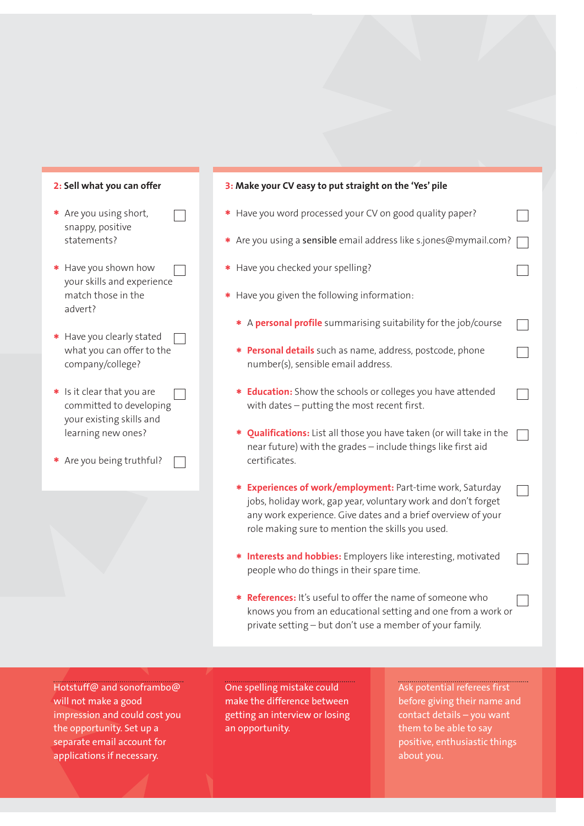

- **\*** Are you using short, snappy, positive statements?
- **\*** Have you shown how your skills and experience match those in the advert?
- **\*** Have you clearly stated  $\sim$  1 what you can offer to the company/college?
- **\*** Is it clear that you are committed to developing your existing skills and learning new ones?
- **\*** Are you being truthful?

#### **3: Make your CV easy to put straight on the 'Yes' pile**

- **\*** Have you word processed your CV on good quality paper?
- **\*** Are you using a sensible email address like s.jones@mymail.com?

 $\overline{\phantom{0}}$ 

 $\overline{\phantom{a}}$ 

 $\Box$ 

 $\Box$ 

 $\Box$ 

- **\*** Have you checked your spelling?
- **\*** Have you given the following information:
	- **\*** <sup>A</sup>**personal profile** summarising suitability for the job/course
	- **\* Personal details** such as name, address, postcode, phone number(s), sensible email address.
	- **\* Education:** Show the schools or colleges you have attended with dates – putting the most recent first.
	- **\* Qualifications:** List all those you have taken (or will take in the  $\Box$ near future) with the grades – include things like first aid certificates.
	- **\* Experiences of work/employment:** Part-time work, Saturday jobs, holiday work, gap year, voluntary work and don't forget any work experience. Give dates and a brief overview of your role making sure to mention the skills you used.
	- **\* Interests and hobbies:** Employers like interesting, motivated people who do things in their spare time.
	- **\* References:** It's useful to offer the name of someone who knows you from an educational setting and one from a work or private setting – but don't use a member of your family.

Hotstuff@ and sonoframbo@ will not make a good impression and could cost you the opportunity. Set up a separate email account for applications if necessary.

One spelling mistake could make the difference between getting an interview or losing an opportunity.

Ask potential referees first before giving their name and contact details – you want them to be able to say positive, enthusiastic things about you.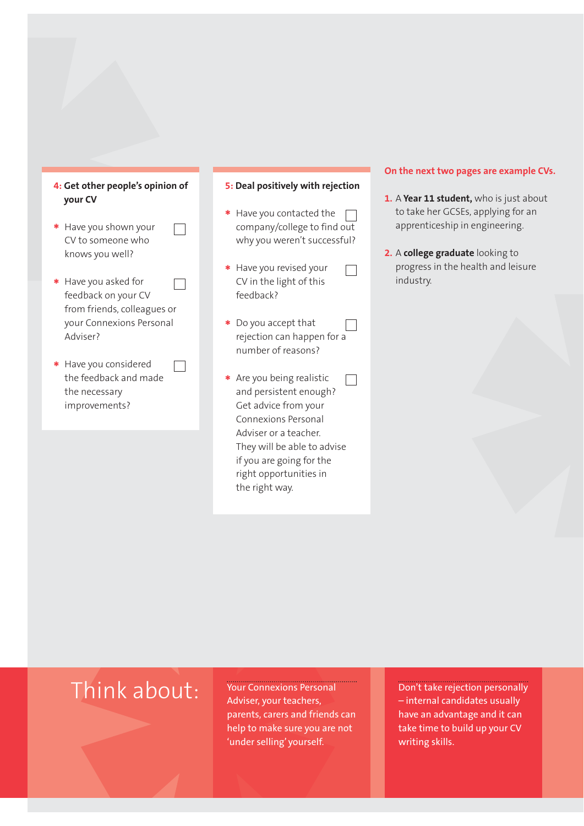

 $\Box$ 

- **\*** Have you shown your CV to someone who knows you well?
- **\*** Have you asked for  $\Box$ feedback on your CV from friends, colleagues or your Connexions Personal Adviser?
- **\*** Have you considered the feedback and made the necessary improvements?

#### **5: Deal positively with rejection**

**\*** Have you contacted the company/college to find out why you weren't successful?

 $\Box$ 

- **\*** Have you revised your CV in the light of this feedback?
- **\*** Do you accept that rejection can happen for a number of reasons?
- **\*** Are you being realistic  $\Box$ and persistent enough? Get advice from your Connexions Personal Adviser or a teacher. They will be able to advise if you are going for the right opportunities in the right way.

#### **On the next two pages are example CVs.**

- **1.** A **Year 11 student,** who is just about to take her GCSEs, applying for an apprenticeship in engineering.
- **2.** A **college graduate** looking to progress in the health and leisure industry.

## Think about: Your Connexions Personal

Adviser, your teachers, parents, carers and friends can help to make sure you are not 'under selling' yourself.

Don't take rejection personally – internal candidates usually have an advantage and it can take time to build up your CV writing skills.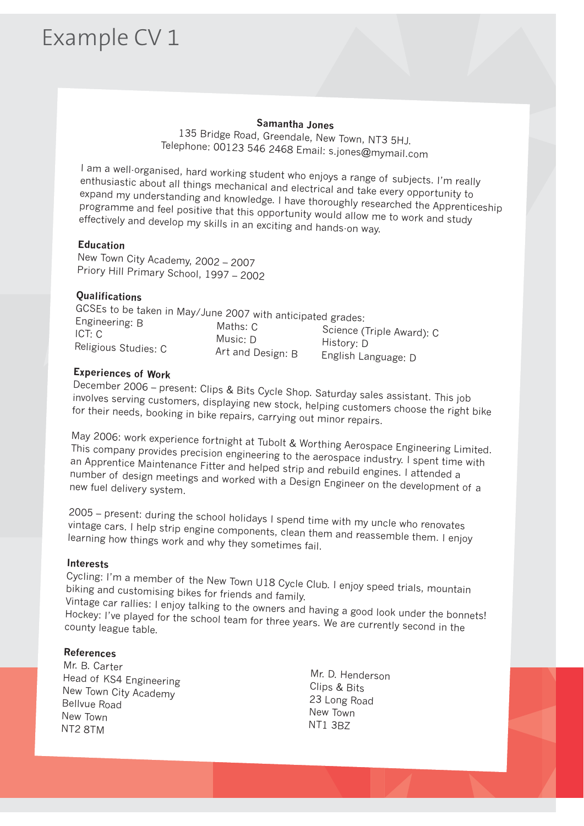# Example CV 1

### **Samantha Jones**

135 Bridge Road, Greendale, New Town, NT3 5HJ. Telephone: 00123 546 2468 Email: s.jones@mymail.com

I am a well-organised, hard working student who enjoys a range of subjects. I'm really enthusiastic about all things mechanical and electrical and take every opportunity to expand my understanding and knowledge. I have thoroughly researched the Apprenticeship programme and feel positive that this opportunity would allow me to work and study effectively and develop my skills in an exciting and hands-on way.

## **Education**

New Town City Academy, 2002 – <sup>2007</sup> Priory Hill Primary School, 1997 – 2002

## **Qualifications**

| GCSEs to be taken in May/June 2007 with anticipated grades: |                               |                                                                |
|-------------------------------------------------------------|-------------------------------|----------------------------------------------------------------|
| Engineering: B<br>ICT: C<br>Religious Studies: C            | Maths: C                      | Science (Triple Award): C<br>History: D<br>English Language: D |
|                                                             | Music: D<br>Art and Design: B |                                                                |

## **Experiences of Work**

December 2006 – present: Clips & Bits Cycle Shop. Saturday sales assistant. This job involves serving customers, displaying new stock, helping customers choose the right bike for their needs, booking in bike repairs, carrying out minor repairs.

May 2006: work experience fortnight at Tubolt & Worthing Aerospace Engineering Limited. This company provides precision engineering to the aerospace industry. I spent time with an Apprentice Maintenance Fitter and helped strip and rebuild engines. I attended a number of design meetings and worked with a Design Engineer on the development of a new fuel delivery system.

2005 – present: during the school holidays I spend time with my uncle who renovates vintage cars. I help strip engine components, clean them and reassemble them. I enjoy learning how things work and why they sometimes fail.

## **Interests**

Cycling: I'm a member of the New Town U18 Cycle Club. I enjoy speed trials, mountain biking and customising bikes for friends and family.

Vintage car rallies: I enjoy talking to the owners and having a good look under the bonnets! Hockey: I've played for the school team for three years. We are currently second in the county league table.

## **References**

Mr. B. CarterHead of KS4 EngineeringNew Town City AcademyBellvue RoadNew TownNT2 8TM

 Mr. D. Henderson Clips & Bits 23 Long Road New Town NT1 3BZ